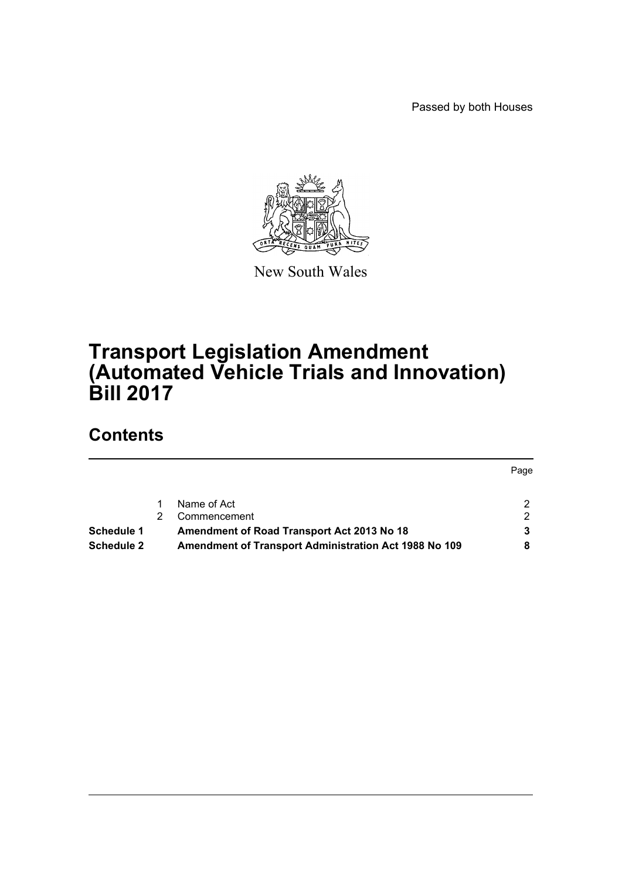Passed by both Houses



New South Wales

# **Transport Legislation Amendment (Automated Vehicle Trials and Innovation) Bill 2017**

# **Contents**

|                   |                                                              | Page |
|-------------------|--------------------------------------------------------------|------|
|                   | Name of Act                                                  |      |
|                   | Commencement                                                 | ◠    |
| <b>Schedule 1</b> | Amendment of Road Transport Act 2013 No 18                   |      |
| Schedule 2        | <b>Amendment of Transport Administration Act 1988 No 109</b> |      |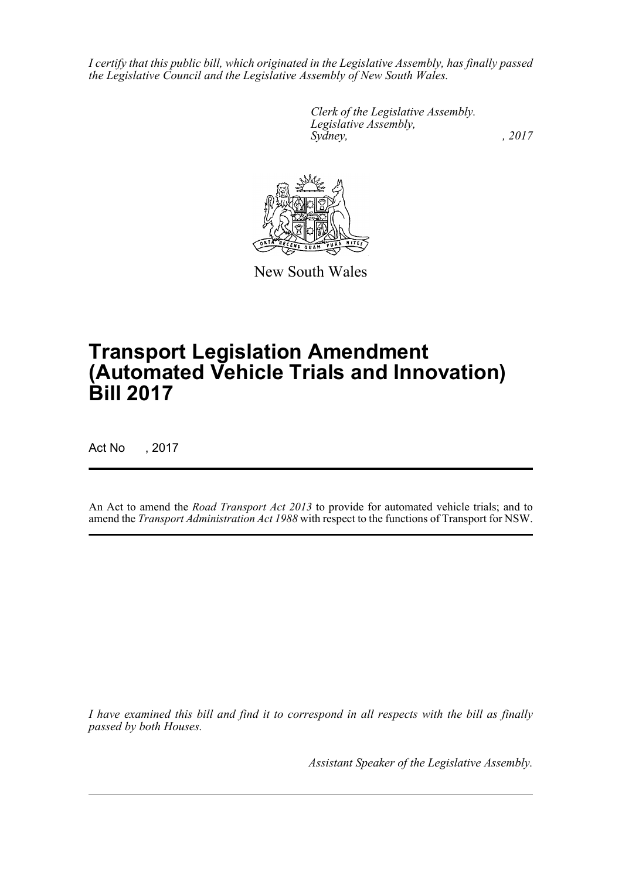*I certify that this public bill, which originated in the Legislative Assembly, has finally passed the Legislative Council and the Legislative Assembly of New South Wales.*

> *Clerk of the Legislative Assembly. Legislative Assembly, Sydney,* , 2017



New South Wales

# **Transport Legislation Amendment (Automated Vehicle Trials and Innovation) Bill 2017**

Act No , 2017

An Act to amend the *Road Transport Act 2013* to provide for automated vehicle trials; and to amend the *Transport Administration Act 1988* with respect to the functions of Transport for NSW.

*I have examined this bill and find it to correspond in all respects with the bill as finally passed by both Houses.*

*Assistant Speaker of the Legislative Assembly.*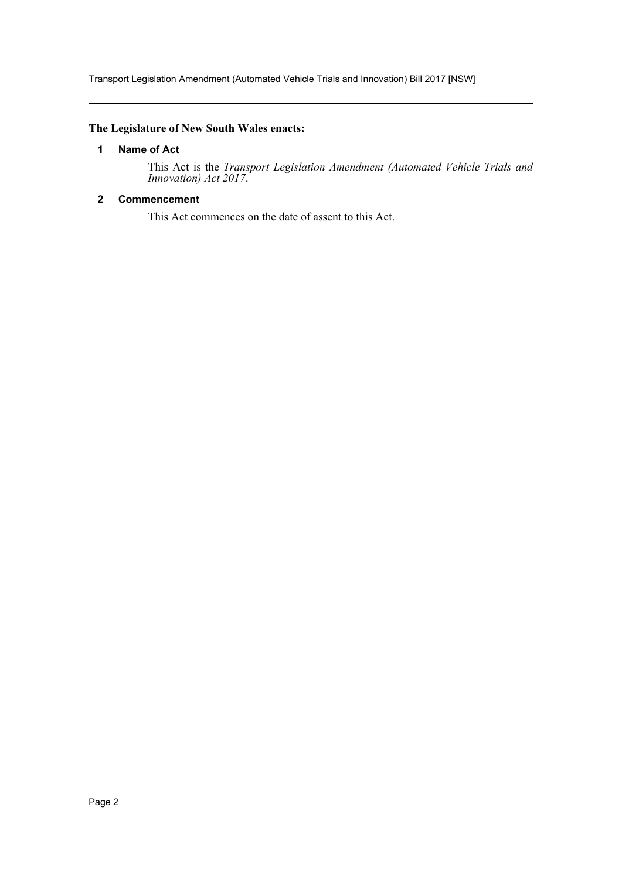Transport Legislation Amendment (Automated Vehicle Trials and Innovation) Bill 2017 [NSW]

# <span id="page-2-0"></span>**The Legislature of New South Wales enacts:**

#### **1 Name of Act**

This Act is the *Transport Legislation Amendment (Automated Vehicle Trials and Innovation) Act 2017*.

# <span id="page-2-1"></span>**2 Commencement**

This Act commences on the date of assent to this Act.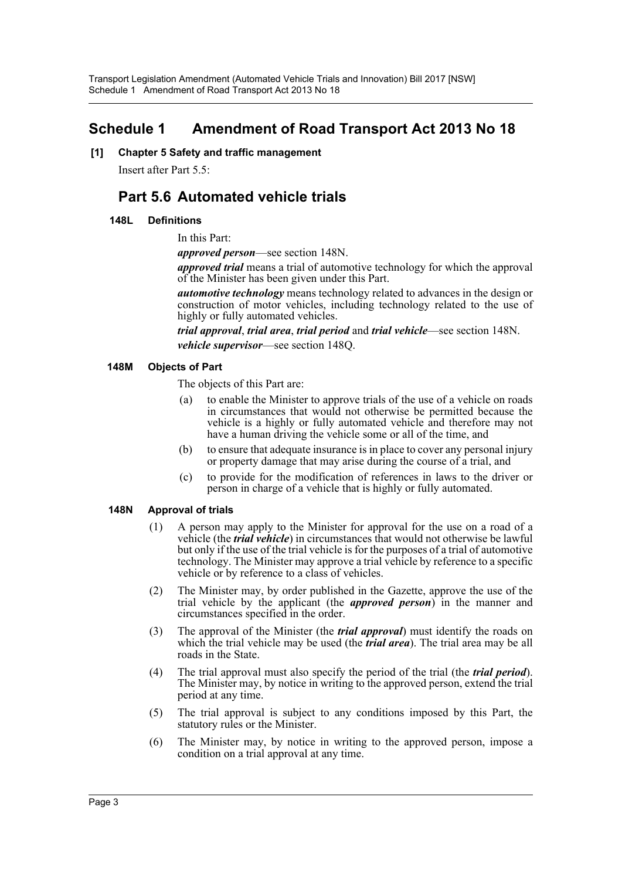# <span id="page-3-0"></span>**Schedule 1 Amendment of Road Transport Act 2013 No 18**

**[1] Chapter 5 Safety and traffic management**

Insert after Part 5.5:

# **Part 5.6 Automated vehicle trials**

# **148L Definitions**

In this Part:

*approved person*—see section 148N.

*approved trial* means a trial of automotive technology for which the approval of the Minister has been given under this Part.

*automotive technology* means technology related to advances in the design or construction of motor vehicles, including technology related to the use of highly or fully automated vehicles.

*trial approval*, *trial area*, *trial period* and *trial vehicle*—see section 148N. *vehicle supervisor*—see section 148Q.

# **148M Objects of Part**

The objects of this Part are:

- (a) to enable the Minister to approve trials of the use of a vehicle on roads in circumstances that would not otherwise be permitted because the vehicle is a highly or fully automated vehicle and therefore may not have a human driving the vehicle some or all of the time, and
- (b) to ensure that adequate insurance is in place to cover any personal injury or property damage that may arise during the course of a trial, and
- (c) to provide for the modification of references in laws to the driver or person in charge of a vehicle that is highly or fully automated.

# **148N Approval of trials**

- (1) A person may apply to the Minister for approval for the use on a road of a vehicle (the *trial vehicle*) in circumstances that would not otherwise be lawful but only if the use of the trial vehicle is for the purposes of a trial of automotive technology. The Minister may approve a trial vehicle by reference to a specific vehicle or by reference to a class of vehicles.
- (2) The Minister may, by order published in the Gazette, approve the use of the trial vehicle by the applicant (the *approved person*) in the manner and circumstances specified in the order.
- (3) The approval of the Minister (the *trial approval*) must identify the roads on which the trial vehicle may be used (the *trial area*). The trial area may be all roads in the State.
- (4) The trial approval must also specify the period of the trial (the *trial period*). The Minister may, by notice in writing to the approved person, extend the trial period at any time.
- (5) The trial approval is subject to any conditions imposed by this Part, the statutory rules or the Minister.
- (6) The Minister may, by notice in writing to the approved person, impose a condition on a trial approval at any time.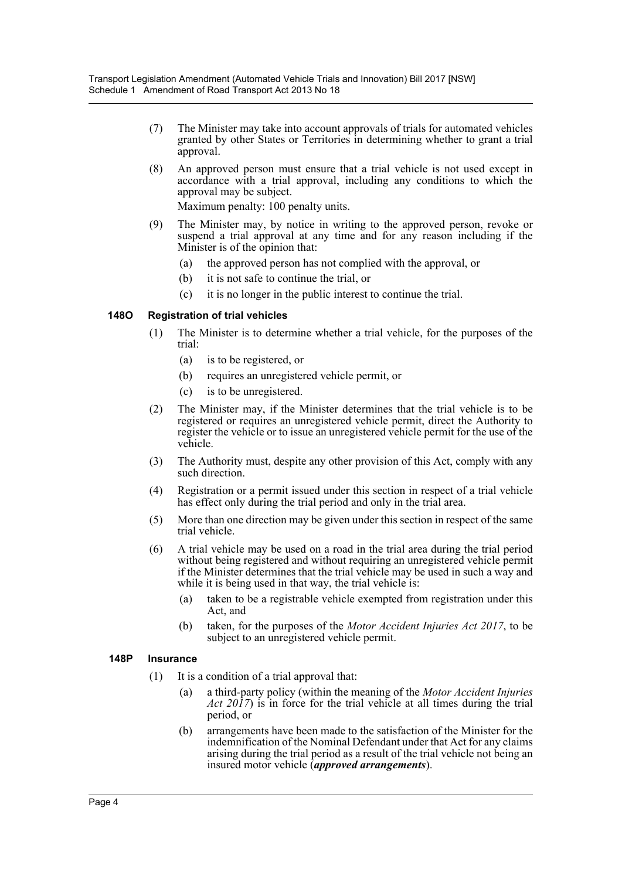- (7) The Minister may take into account approvals of trials for automated vehicles granted by other States or Territories in determining whether to grant a trial approval.
- (8) An approved person must ensure that a trial vehicle is not used except in accordance with a trial approval, including any conditions to which the approval may be subject.

Maximum penalty: 100 penalty units.

- (9) The Minister may, by notice in writing to the approved person, revoke or suspend a trial approval at any time and for any reason including if the Minister is of the opinion that:
	- (a) the approved person has not complied with the approval, or
	- (b) it is not safe to continue the trial, or
	- (c) it is no longer in the public interest to continue the trial.

# **148O Registration of trial vehicles**

- (1) The Minister is to determine whether a trial vehicle, for the purposes of the trial:
	- (a) is to be registered, or
	- (b) requires an unregistered vehicle permit, or
	- (c) is to be unregistered.
- (2) The Minister may, if the Minister determines that the trial vehicle is to be registered or requires an unregistered vehicle permit, direct the Authority to register the vehicle or to issue an unregistered vehicle permit for the use of the vehicle.
- (3) The Authority must, despite any other provision of this Act, comply with any such direction.
- (4) Registration or a permit issued under this section in respect of a trial vehicle has effect only during the trial period and only in the trial area.
- (5) More than one direction may be given under this section in respect of the same trial vehicle.
- (6) A trial vehicle may be used on a road in the trial area during the trial period without being registered and without requiring an unregistered vehicle permit if the Minister determines that the trial vehicle may be used in such a way and while it is being used in that way, the trial vehicle is:
	- (a) taken to be a registrable vehicle exempted from registration under this Act, and
	- (b) taken, for the purposes of the *Motor Accident Injuries Act 2017*, to be subject to an unregistered vehicle permit.

#### **148P Insurance**

- (1) It is a condition of a trial approval that:
	- (a) a third-party policy (within the meaning of the *Motor Accident Injuries Act 2017*) is in force for the trial vehicle at all times during the trial period, or
	- (b) arrangements have been made to the satisfaction of the Minister for the indemnification of the Nominal Defendant under that Act for any claims arising during the trial period as a result of the trial vehicle not being an insured motor vehicle (*approved arrangements*).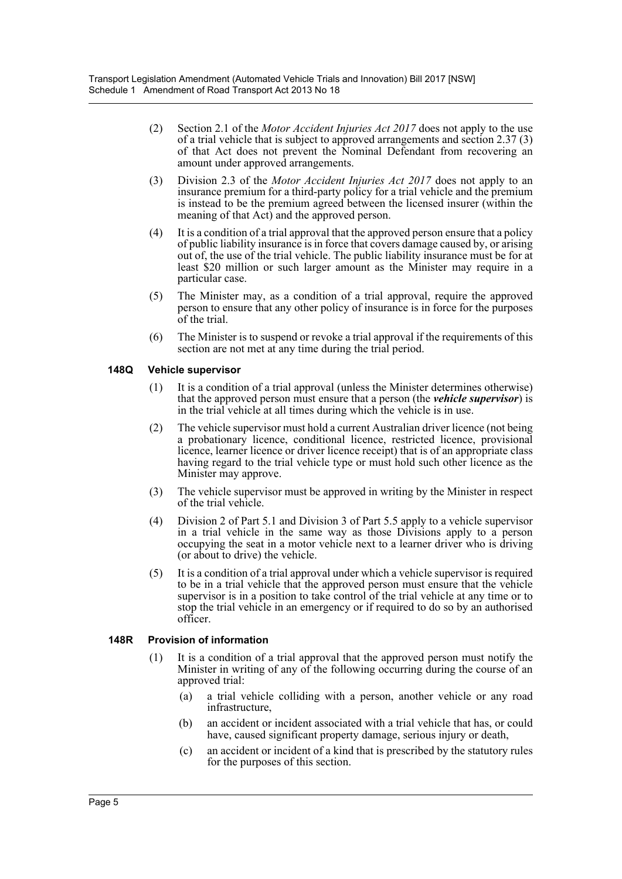- (2) Section 2.1 of the *Motor Accident Injuries Act 2017* does not apply to the use of a trial vehicle that is subject to approved arrangements and section 2.37 (3) of that Act does not prevent the Nominal Defendant from recovering an amount under approved arrangements.
- (3) Division 2.3 of the *Motor Accident Injuries Act 2017* does not apply to an insurance premium for a third-party policy for a trial vehicle and the premium is instead to be the premium agreed between the licensed insurer (within the meaning of that Act) and the approved person.
- (4) It is a condition of a trial approval that the approved person ensure that a policy of public liability insurance is in force that covers damage caused by, or arising out of, the use of the trial vehicle. The public liability insurance must be for at least \$20 million or such larger amount as the Minister may require in a particular case.
- (5) The Minister may, as a condition of a trial approval, require the approved person to ensure that any other policy of insurance is in force for the purposes of the trial.
- (6) The Minister is to suspend or revoke a trial approval if the requirements of this section are not met at any time during the trial period.

# **148Q Vehicle supervisor**

- (1) It is a condition of a trial approval (unless the Minister determines otherwise) that the approved person must ensure that a person (the *vehicle supervisor*) is in the trial vehicle at all times during which the vehicle is in use.
- (2) The vehicle supervisor must hold a current Australian driver licence (not being a probationary licence, conditional licence, restricted licence, provisional licence, learner licence or driver licence receipt) that is of an appropriate class having regard to the trial vehicle type or must hold such other licence as the Minister may approve.
- (3) The vehicle supervisor must be approved in writing by the Minister in respect of the trial vehicle.
- (4) Division 2 of Part 5.1 and Division 3 of Part 5.5 apply to a vehicle supervisor in a trial vehicle in the same way as those Divisions apply to a person occupying the seat in a motor vehicle next to a learner driver who is driving (or about to drive) the vehicle.
- (5) It is a condition of a trial approval under which a vehicle supervisor is required to be in a trial vehicle that the approved person must ensure that the vehicle supervisor is in a position to take control of the trial vehicle at any time or to stop the trial vehicle in an emergency or if required to do so by an authorised officer.

#### **148R Provision of information**

- (1) It is a condition of a trial approval that the approved person must notify the Minister in writing of any of the following occurring during the course of an approved trial:
	- (a) a trial vehicle colliding with a person, another vehicle or any road infrastructure,
	- (b) an accident or incident associated with a trial vehicle that has, or could have, caused significant property damage, serious injury or death,
	- (c) an accident or incident of a kind that is prescribed by the statutory rules for the purposes of this section.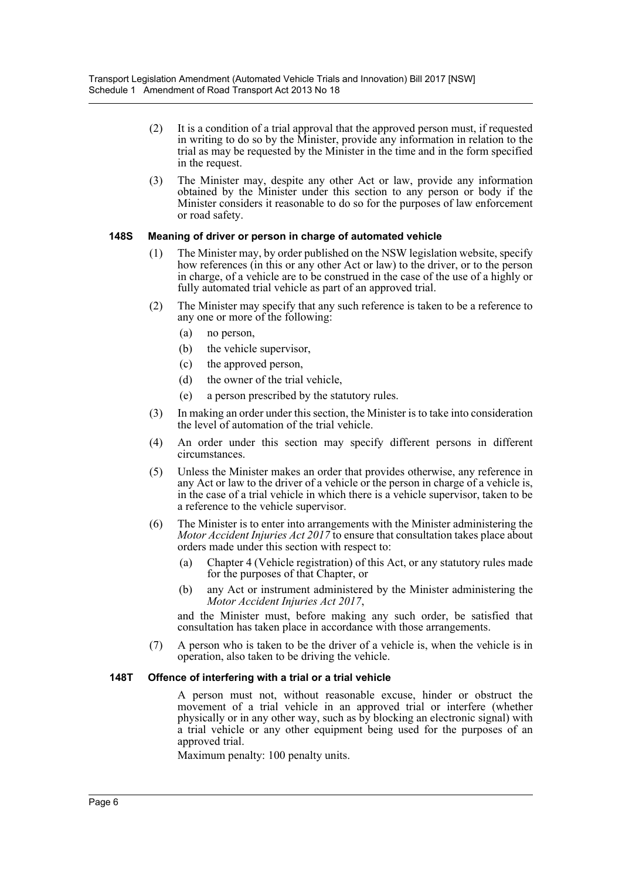- (2) It is a condition of a trial approval that the approved person must, if requested in writing to do so by the Minister, provide any information in relation to the trial as may be requested by the Minister in the time and in the form specified in the request.
- (3) The Minister may, despite any other Act or law, provide any information obtained by the Minister under this section to any person or body if the Minister considers it reasonable to do so for the purposes of law enforcement or road safety.

#### **148S Meaning of driver or person in charge of automated vehicle**

- (1) The Minister may, by order published on the NSW legislation website, specify how references (in this or any other Act or law) to the driver, or to the person in charge, of a vehicle are to be construed in the case of the use of a highly or fully automated trial vehicle as part of an approved trial.
- (2) The Minister may specify that any such reference is taken to be a reference to any one or more of the following:
	- (a) no person,
	- (b) the vehicle supervisor,
	- (c) the approved person,
	- (d) the owner of the trial vehicle,
	- (e) a person prescribed by the statutory rules.
- (3) In making an order under this section, the Minister is to take into consideration the level of automation of the trial vehicle.
- (4) An order under this section may specify different persons in different circumstances.
- (5) Unless the Minister makes an order that provides otherwise, any reference in any Act or law to the driver of a vehicle or the person in charge of a vehicle is, in the case of a trial vehicle in which there is a vehicle supervisor, taken to be a reference to the vehicle supervisor.
- (6) The Minister is to enter into arrangements with the Minister administering the *Motor Accident Injuries Act 2017* to ensure that consultation takes place about orders made under this section with respect to:
	- (a) Chapter 4 (Vehicle registration) of this Act, or any statutory rules made for the purposes of that Chapter, or
	- (b) any Act or instrument administered by the Minister administering the *Motor Accident Injuries Act 2017*,

and the Minister must, before making any such order, be satisfied that consultation has taken place in accordance with those arrangements.

(7) A person who is taken to be the driver of a vehicle is, when the vehicle is in operation, also taken to be driving the vehicle.

#### **148T Offence of interfering with a trial or a trial vehicle**

A person must not, without reasonable excuse, hinder or obstruct the movement of a trial vehicle in an approved trial or interfere (whether physically or in any other way, such as by blocking an electronic signal) with a trial vehicle or any other equipment being used for the purposes of an approved trial.

Maximum penalty: 100 penalty units.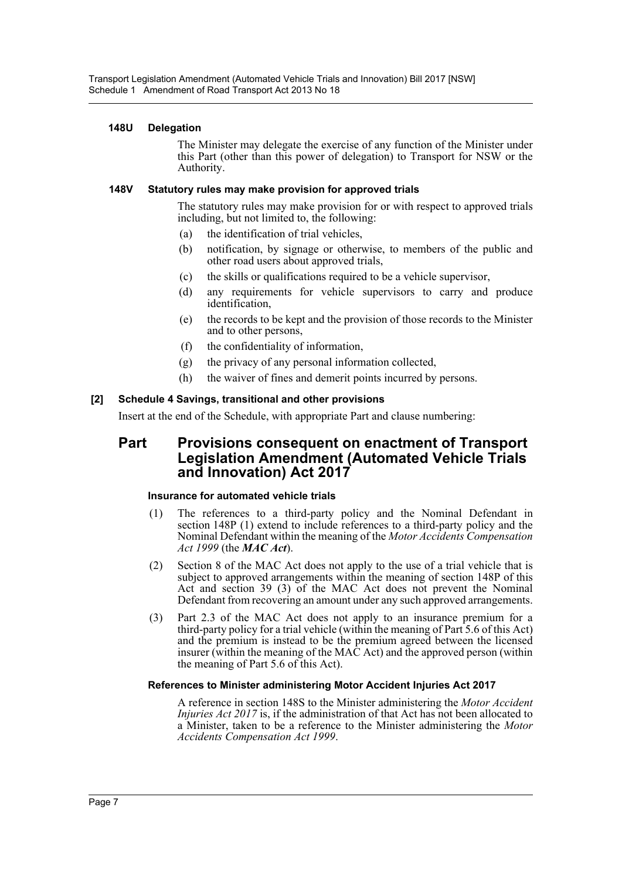# **148U Delegation**

The Minister may delegate the exercise of any function of the Minister under this Part (other than this power of delegation) to Transport for NSW or the Authority.

# **148V Statutory rules may make provision for approved trials**

The statutory rules may make provision for or with respect to approved trials including, but not limited to, the following:

- (a) the identification of trial vehicles,
- (b) notification, by signage or otherwise, to members of the public and other road users about approved trials,
- (c) the skills or qualifications required to be a vehicle supervisor,
- (d) any requirements for vehicle supervisors to carry and produce identification,
- (e) the records to be kept and the provision of those records to the Minister and to other persons,
- (f) the confidentiality of information,
- (g) the privacy of any personal information collected,
- (h) the waiver of fines and demerit points incurred by persons.

# **[2] Schedule 4 Savings, transitional and other provisions**

Insert at the end of the Schedule, with appropriate Part and clause numbering:

# **Part Provisions consequent on enactment of Transport Legislation Amendment (Automated Vehicle Trials and Innovation) Act 2017**

#### **Insurance for automated vehicle trials**

- (1) The references to a third-party policy and the Nominal Defendant in section 148P (1) extend to include references to a third-party policy and the Nominal Defendant within the meaning of the *Motor Accidents Compensation Act 1999* (the *MAC Act*).
- (2) Section 8 of the MAC Act does not apply to the use of a trial vehicle that is subject to approved arrangements within the meaning of section 148P of this Act and section 39 (3) of the MAC Act does not prevent the Nominal Defendant from recovering an amount under any such approved arrangements.
- (3) Part 2.3 of the MAC Act does not apply to an insurance premium for a third-party policy for a trial vehicle (within the meaning of Part 5.6 of this Act) and the premium is instead to be the premium agreed between the licensed insurer (within the meaning of the MAC Act) and the approved person (within the meaning of Part 5.6 of this Act).

#### **References to Minister administering Motor Accident Injuries Act 2017**

A reference in section 148S to the Minister administering the *Motor Accident Injuries Act 2017* is, if the administration of that Act has not been allocated to a Minister, taken to be a reference to the Minister administering the *Motor Accidents Compensation Act 1999*.